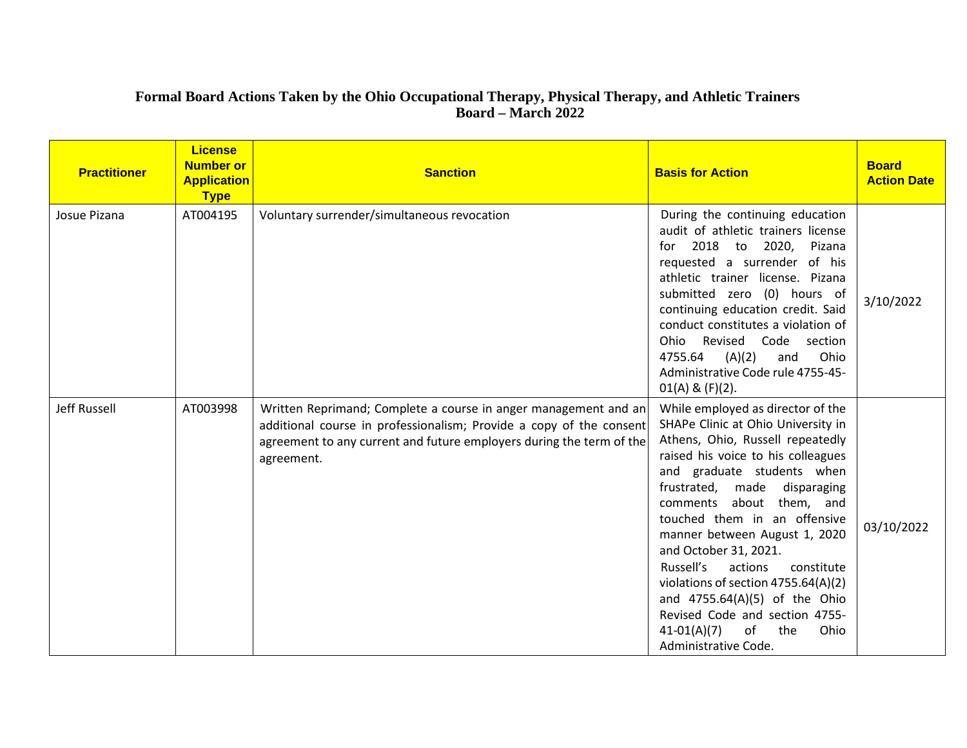## **Formal Board Actions Taken by the Ohio Occupational Therapy, Physical Therapy, and Athletic Trainers Board – March 2022**

| <b>Practitioner</b> | <b>License</b><br><b>Number or</b><br><b>Application</b><br><b>Type</b> | <b>Sanction</b>                                                                                                                                                                                                              | <b>Basis for Action</b>                                                                                                                                                                                                                                                                                                                                                                                                                                                                                                                                | <b>Board</b><br><b>Action Date</b> |
|---------------------|-------------------------------------------------------------------------|------------------------------------------------------------------------------------------------------------------------------------------------------------------------------------------------------------------------------|--------------------------------------------------------------------------------------------------------------------------------------------------------------------------------------------------------------------------------------------------------------------------------------------------------------------------------------------------------------------------------------------------------------------------------------------------------------------------------------------------------------------------------------------------------|------------------------------------|
| Josue Pizana        | AT004195                                                                | Voluntary surrender/simultaneous revocation                                                                                                                                                                                  | During the continuing education<br>audit of athletic trainers license<br>2018 to 2020, Pizana<br>for<br>requested a surrender of his<br>athletic trainer license. Pizana<br>submitted zero (0) hours of<br>continuing education credit. Said<br>conduct constitutes a violation of<br>Ohio Revised Code section<br>4755.64<br>(A)(2)<br>Ohio<br>and<br>Administrative Code rule 4755-45-<br>$01(A)$ & $(F)(2)$ .                                                                                                                                       | 3/10/2022                          |
| Jeff Russell        | AT003998                                                                | Written Reprimand; Complete a course in anger management and an<br>additional course in professionalism; Provide a copy of the consent<br>agreement to any current and future employers during the term of the<br>agreement. | While employed as director of the<br>SHAPe Clinic at Ohio University in<br>Athens, Ohio, Russell repeatedly<br>raised his voice to his colleagues<br>and graduate students when<br>frustrated, made<br>disparaging<br>comments about them, and<br>touched them in an offensive<br>manner between August 1, 2020<br>and October 31, 2021.<br>Russell's<br>actions<br>constitute<br>violations of section 4755.64(A)(2)<br>and 4755.64(A)(5) of the Ohio<br>Revised Code and section 4755-<br>of<br>the<br>$41-01(A)(7)$<br>Ohio<br>Administrative Code. | 03/10/2022                         |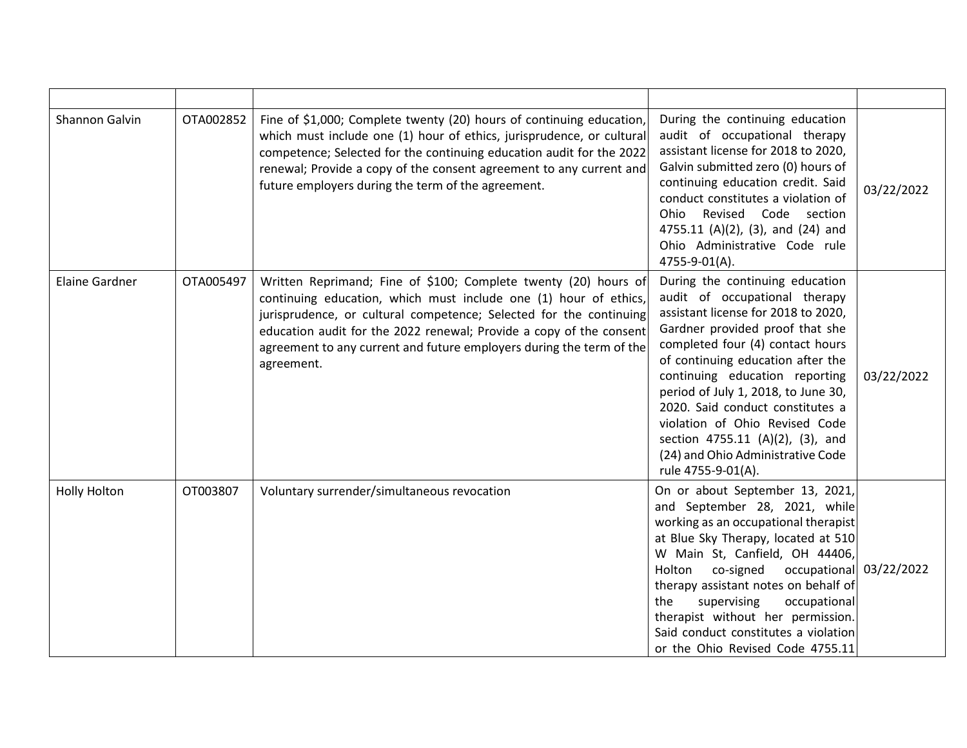| Shannon Galvin        | OTA002852 | Fine of \$1,000; Complete twenty (20) hours of continuing education,<br>which must include one (1) hour of ethics, jurisprudence, or cultural<br>competence; Selected for the continuing education audit for the 2022<br>renewal; Provide a copy of the consent agreement to any current and<br>future employers during the term of the agreement.                     | During the continuing education<br>audit of occupational therapy<br>assistant license for 2018 to 2020,<br>Galvin submitted zero (0) hours of<br>continuing education credit. Said<br>conduct constitutes a violation of<br>Ohio Revised Code section<br>4755.11 (A)(2), (3), and (24) and<br>Ohio Administrative Code rule<br>4755-9-01(A).                                                                                                                      | 03/22/2022 |
|-----------------------|-----------|------------------------------------------------------------------------------------------------------------------------------------------------------------------------------------------------------------------------------------------------------------------------------------------------------------------------------------------------------------------------|-------------------------------------------------------------------------------------------------------------------------------------------------------------------------------------------------------------------------------------------------------------------------------------------------------------------------------------------------------------------------------------------------------------------------------------------------------------------|------------|
| <b>Elaine Gardner</b> | OTA005497 | Written Reprimand; Fine of \$100; Complete twenty (20) hours of<br>continuing education, which must include one (1) hour of ethics,<br>jurisprudence, or cultural competence; Selected for the continuing<br>education audit for the 2022 renewal; Provide a copy of the consent<br>agreement to any current and future employers during the term of the<br>agreement. | During the continuing education<br>audit of occupational therapy<br>assistant license for 2018 to 2020,<br>Gardner provided proof that she<br>completed four (4) contact hours<br>of continuing education after the<br>continuing education reporting<br>period of July 1, 2018, to June 30,<br>2020. Said conduct constitutes a<br>violation of Ohio Revised Code<br>section 4755.11 (A)(2), (3), and<br>(24) and Ohio Administrative Code<br>rule 4755-9-01(A). | 03/22/2022 |
| <b>Holly Holton</b>   | OT003807  | Voluntary surrender/simultaneous revocation                                                                                                                                                                                                                                                                                                                            | On or about September 13, 2021,<br>and September 28, 2021, while<br>working as an occupational therapist<br>at Blue Sky Therapy, located at 510<br>W Main St, Canfield, OH 44406,<br>occupational 03/22/2022<br>Holton<br>co-signed<br>therapy assistant notes on behalf of<br>the<br>supervising<br>occupational<br>therapist without her permission.<br>Said conduct constitutes a violation<br>or the Ohio Revised Code 4755.11                                |            |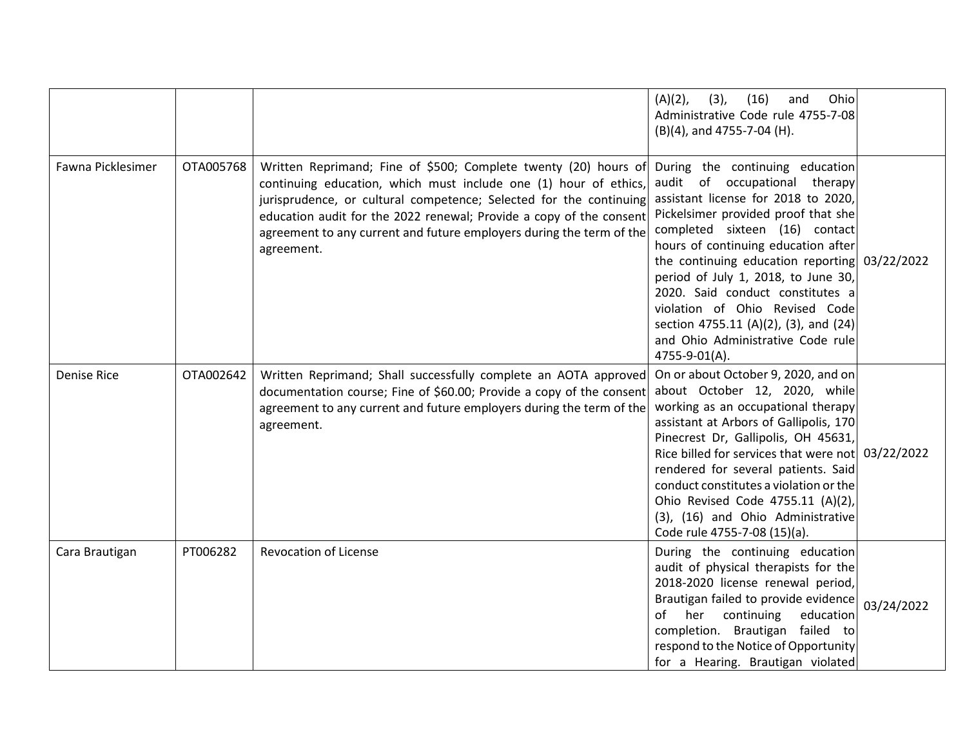|                    |           |                                                                                                                                                                                                                                                                                                                                                                        | Ohio<br>$(A)(2)$ ,<br>(3),<br>(16)<br>and<br>Administrative Code rule 4755-7-08<br>(B)(4), and 4755-7-04 (H).                                                                                                                                                                                                                                                                                                                                                                          |            |
|--------------------|-----------|------------------------------------------------------------------------------------------------------------------------------------------------------------------------------------------------------------------------------------------------------------------------------------------------------------------------------------------------------------------------|----------------------------------------------------------------------------------------------------------------------------------------------------------------------------------------------------------------------------------------------------------------------------------------------------------------------------------------------------------------------------------------------------------------------------------------------------------------------------------------|------------|
| Fawna Picklesimer  | OTA005768 | Written Reprimand; Fine of \$500; Complete twenty (20) hours of<br>continuing education, which must include one (1) hour of ethics,<br>jurisprudence, or cultural competence; Selected for the continuing<br>education audit for the 2022 renewal; Provide a copy of the consent<br>agreement to any current and future employers during the term of the<br>agreement. | During the continuing education<br>audit of occupational therapy<br>assistant license for 2018 to 2020,<br>Pickelsimer provided proof that she<br>completed sixteen (16) contact<br>hours of continuing education after<br>the continuing education reporting $03/22/2022$<br>period of July 1, 2018, to June 30,<br>2020. Said conduct constitutes a<br>violation of Ohio Revised Code<br>section 4755.11 (A)(2), (3), and (24)<br>and Ohio Administrative Code rule<br>4755-9-01(A). |            |
| <b>Denise Rice</b> | OTA002642 | Written Reprimand; Shall successfully complete an AOTA approved<br>documentation course; Fine of \$60.00; Provide a copy of the consent<br>agreement to any current and future employers during the term of the<br>agreement.                                                                                                                                          | On or about October 9, 2020, and on<br>about October 12, 2020, while<br>working as an occupational therapy<br>assistant at Arbors of Gallipolis, 170<br>Pinecrest Dr, Gallipolis, OH 45631,<br>Rice billed for services that were not 03/22/2022<br>rendered for several patients. Said<br>conduct constitutes a violation or the<br>Ohio Revised Code 4755.11 (A)(2),<br>(3), (16) and Ohio Administrative<br>Code rule 4755-7-08 (15)(a).                                            |            |
| Cara Brautigan     | PT006282  | <b>Revocation of License</b>                                                                                                                                                                                                                                                                                                                                           | During the continuing education<br>audit of physical therapists for the<br>2018-2020 license renewal period,<br>Brautigan failed to provide evidence<br>of her continuing<br>education<br>completion. Brautigan failed to<br>respond to the Notice of Opportunity<br>for a Hearing. Brautigan violated                                                                                                                                                                                 | 03/24/2022 |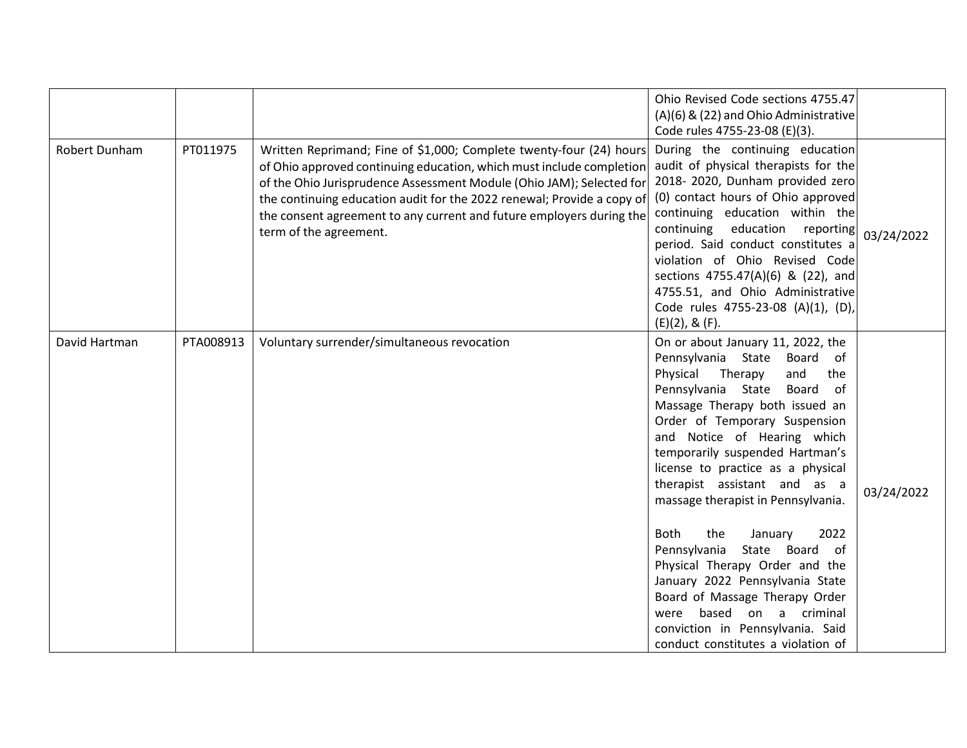|               |           |                                                                                                                                                                                                                                                                                                                                                                                                 | Ohio Revised Code sections 4755.47<br>(A)(6) & (22) and Ohio Administrative<br>Code rules 4755-23-08 (E)(3).                                                                                                                                                                                                                                                                                                                                                                                                                                                                                                                                                                                |            |
|---------------|-----------|-------------------------------------------------------------------------------------------------------------------------------------------------------------------------------------------------------------------------------------------------------------------------------------------------------------------------------------------------------------------------------------------------|---------------------------------------------------------------------------------------------------------------------------------------------------------------------------------------------------------------------------------------------------------------------------------------------------------------------------------------------------------------------------------------------------------------------------------------------------------------------------------------------------------------------------------------------------------------------------------------------------------------------------------------------------------------------------------------------|------------|
| Robert Dunham | PT011975  | Written Reprimand; Fine of \$1,000; Complete twenty-four (24) hours<br>of Ohio approved continuing education, which must include completion<br>of the Ohio Jurisprudence Assessment Module (Ohio JAM); Selected for<br>the continuing education audit for the 2022 renewal; Provide a copy of<br>the consent agreement to any current and future employers during the<br>term of the agreement. | During the continuing education<br>audit of physical therapists for the<br>2018-2020, Dunham provided zero<br>(0) contact hours of Ohio approved<br>continuing education within the<br>education reporting<br>continuing<br>period. Said conduct constitutes a<br>violation of Ohio Revised Code<br>sections 4755.47(A)(6) & (22), and<br>4755.51, and Ohio Administrative<br>Code rules 4755-23-08 (A)(1), (D),<br>$(E)(2)$ , & $(F)$ .                                                                                                                                                                                                                                                    | 03/24/2022 |
| David Hartman | PTA008913 | Voluntary surrender/simultaneous revocation                                                                                                                                                                                                                                                                                                                                                     | On or about January 11, 2022, the<br>Pennsylvania State<br>Board of<br>Therapy<br>Physical<br>and<br>the<br>Pennsylvania State<br>Board<br>of<br>Massage Therapy both issued an<br>Order of Temporary Suspension<br>and Notice of Hearing which<br>temporarily suspended Hartman's<br>license to practice as a physical<br>therapist assistant and as a<br>massage therapist in Pennsylvania.<br><b>Both</b><br>the<br>2022<br>January<br>Pennsylvania<br>State Board of<br>Physical Therapy Order and the<br>January 2022 Pennsylvania State<br>Board of Massage Therapy Order<br>based<br>on a criminal<br>were<br>conviction in Pennsylvania. Said<br>conduct constitutes a violation of | 03/24/2022 |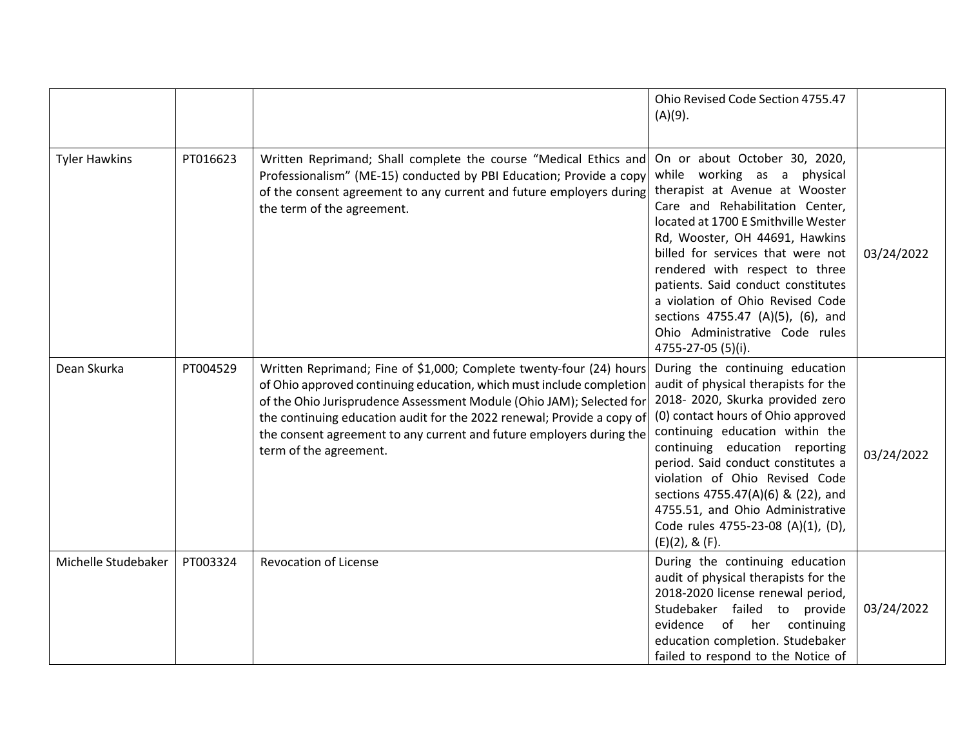|                      |          |                                                                                                                                                                                                                                                                                                                                                                                                 | Ohio Revised Code Section 4755.47<br>$(A)(9)$ .                                                                                                                                                                                                                                                                                                                                                                                                          |            |
|----------------------|----------|-------------------------------------------------------------------------------------------------------------------------------------------------------------------------------------------------------------------------------------------------------------------------------------------------------------------------------------------------------------------------------------------------|----------------------------------------------------------------------------------------------------------------------------------------------------------------------------------------------------------------------------------------------------------------------------------------------------------------------------------------------------------------------------------------------------------------------------------------------------------|------------|
| <b>Tyler Hawkins</b> | PT016623 | Written Reprimand; Shall complete the course "Medical Ethics and<br>Professionalism" (ME-15) conducted by PBI Education; Provide a copy<br>of the consent agreement to any current and future employers during<br>the term of the agreement.                                                                                                                                                    | On or about October 30, 2020,<br>while working as a physical<br>therapist at Avenue at Wooster<br>Care and Rehabilitation Center,<br>located at 1700 E Smithville Wester<br>Rd, Wooster, OH 44691, Hawkins<br>billed for services that were not<br>rendered with respect to three<br>patients. Said conduct constitutes<br>a violation of Ohio Revised Code<br>sections 4755.47 (A)(5), (6), and<br>Ohio Administrative Code rules<br>4755-27-05 (5)(i). | 03/24/2022 |
| Dean Skurka          | PT004529 | Written Reprimand; Fine of \$1,000; Complete twenty-four (24) hours<br>of Ohio approved continuing education, which must include completion<br>of the Ohio Jurisprudence Assessment Module (Ohio JAM); Selected for<br>the continuing education audit for the 2022 renewal; Provide a copy of<br>the consent agreement to any current and future employers during the<br>term of the agreement. | During the continuing education<br>audit of physical therapists for the<br>2018-2020, Skurka provided zero<br>(0) contact hours of Ohio approved<br>continuing education within the<br>continuing education reporting<br>period. Said conduct constitutes a<br>violation of Ohio Revised Code<br>sections 4755.47(A)(6) & (22), and<br>4755.51, and Ohio Administrative<br>Code rules 4755-23-08 (A)(1), (D),<br>$(E)(2)$ , & $(F)$ .                    | 03/24/2022 |
| Michelle Studebaker  | PT003324 | <b>Revocation of License</b>                                                                                                                                                                                                                                                                                                                                                                    | During the continuing education<br>audit of physical therapists for the<br>2018-2020 license renewal period,<br>Studebaker failed to provide<br>of her continuing<br>evidence<br>education completion. Studebaker<br>failed to respond to the Notice of                                                                                                                                                                                                  | 03/24/2022 |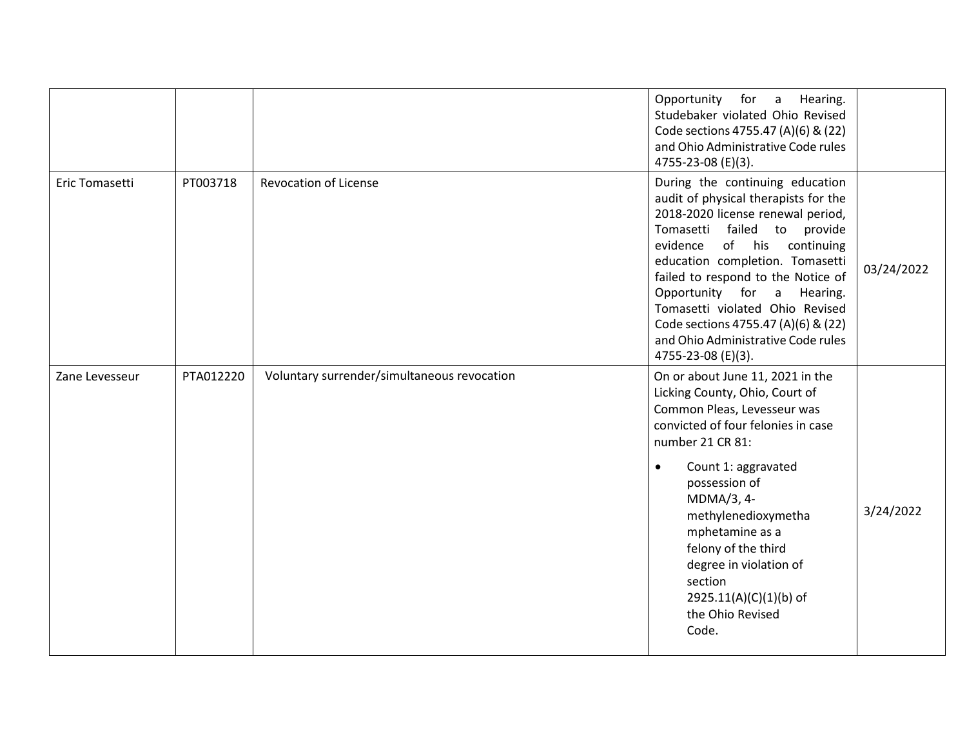|                |           |                                             | Opportunity for<br>a<br>Hearing.<br>Studebaker violated Ohio Revised<br>Code sections 4755.47 (A)(6) & (22)<br>and Ohio Administrative Code rules<br>4755-23-08 (E)(3).                                                                                                                                                                                                                                                      |            |
|----------------|-----------|---------------------------------------------|------------------------------------------------------------------------------------------------------------------------------------------------------------------------------------------------------------------------------------------------------------------------------------------------------------------------------------------------------------------------------------------------------------------------------|------------|
| Eric Tomasetti | PT003718  | <b>Revocation of License</b>                | During the continuing education<br>audit of physical therapists for the<br>2018-2020 license renewal period,<br>Tomasetti failed to provide<br>of his<br>evidence<br>continuing<br>education completion. Tomasetti<br>failed to respond to the Notice of<br>Opportunity for a Hearing.<br>Tomasetti violated Ohio Revised<br>Code sections 4755.47 (A)(6) & (22)<br>and Ohio Administrative Code rules<br>4755-23-08 (E)(3). | 03/24/2022 |
| Zane Levesseur | PTA012220 | Voluntary surrender/simultaneous revocation | On or about June 11, 2021 in the<br>Licking County, Ohio, Court of<br>Common Pleas, Levesseur was<br>convicted of four felonies in case<br>number 21 CR 81:<br>Count 1: aggravated<br>$\bullet$<br>possession of<br>MDMA/3, 4-<br>methylenedioxymetha<br>mphetamine as a<br>felony of the third<br>degree in violation of<br>section<br>2925.11(A)(C)(1)(b) of<br>the Ohio Revised<br>Code.                                  | 3/24/2022  |